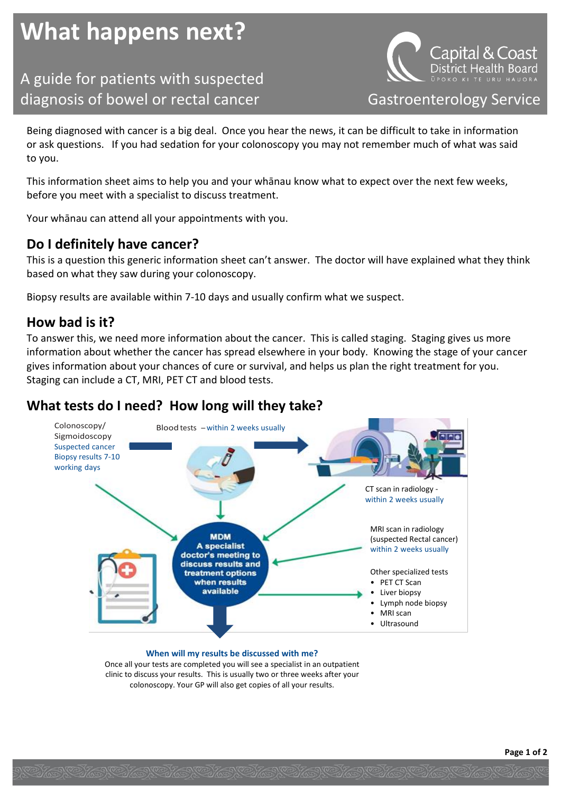# **What happens next?**

A guide for patients with suspected

al & Coast: District Health Board diagnosis of bowel or rectal cancer Gastroenterology Service

Being diagnosed with cancer is a big deal. Once you hear the news, it can be difficult to take in information or ask questions. If you had sedation for your colonoscopy you may not remember much of what was said to you.

This information sheet aims to help you and your whānau know what to expect over the next few weeks, before you meet with a specialist to discuss treatment.

Your whānau can attend all your appointments with you.

## **Do I definitely have cancer?**

This is a question this generic information sheet can't answer. The doctor will have explained what they think based on what they saw during your colonoscopy.

Biopsy results are available within 7-10 days and usually confirm what we suspect.

### **How bad is it?**

To answer this, we need more information about the cancer. This is called staging. Staging gives us more information about whether the cancer has spread elsewhere in your body. Knowing the stage of your cancer gives information about your chances of cure or survival, and helps us plan the right treatment for you. Staging can include a CT, MRI, PET CT and blood tests.

## **What tests do I need? How long will they take?**



**When will my results be discussed with me?**

Once all your tests are completed you will see a specialist in an outpatient clinic to discuss your results. This is usually two or three weeks after your colonoscopy. Your GP will also get copies of all your results.